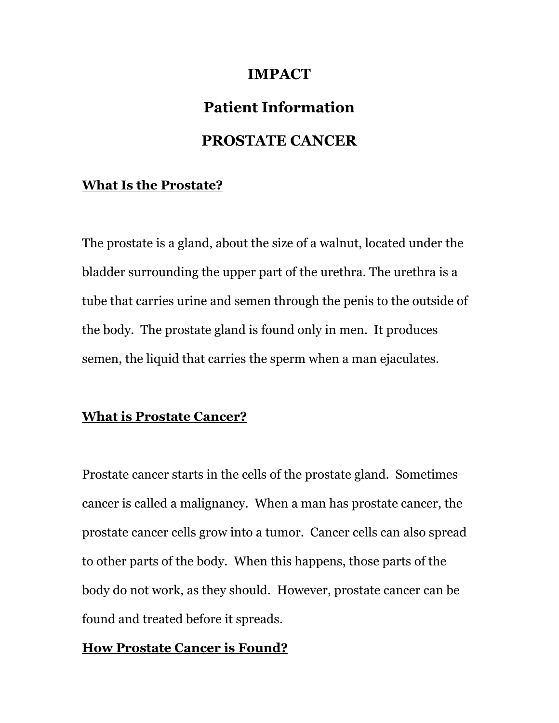## **IMPACT**

# **Patient Information**

## **PROSTATE CANCER**

#### **What Is the Prostate?**

The prostate is a gland, about the size of a walnut, located under the bladder surrounding the upper part of the urethra. The urethra is a tube that carries urine and semen through the penis to the outside of the body. The prostate gland is found only in men. It produces semen, the liquid that carries the sperm when a man ejaculates.

#### **What is Prostate Cancer?**

Prostate cancer starts in the cells of the prostate gland. Sometimes cancer is called a malignancy. When a man has prostate cancer, the prostate cancer cells grow into a tumor. Cancer cells can also spread to other parts of the body. When this happens, those parts of the body do not work, as they should. However, prostate cancer can be found and treated before it spreads.

### **How Prostate Cancer is Found?**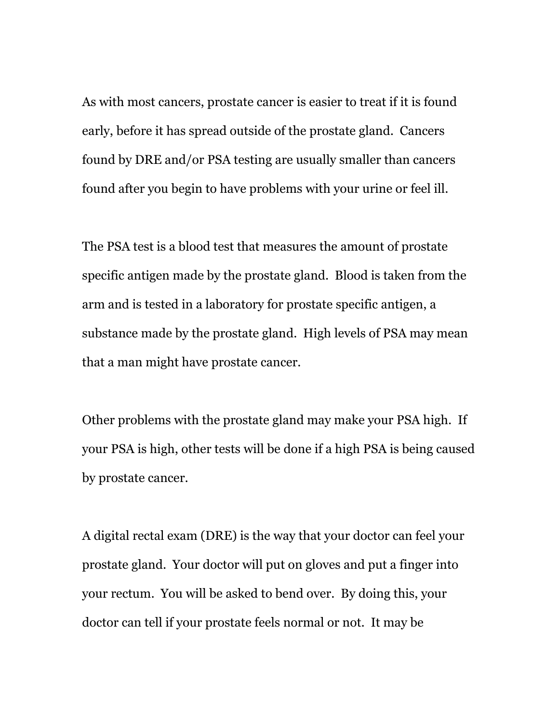As with most cancers, prostate cancer is easier to treat if it is found early, before it has spread outside of the prostate gland. Cancers found by DRE and/or PSA testing are usually smaller than cancers found after you begin to have problems with your urine or feel ill.

The PSA test is a blood test that measures the amount of prostate specific antigen made by the prostate gland. Blood is taken from the arm and is tested in a laboratory for prostate specific antigen, a substance made by the prostate gland. High levels of PSA may mean that a man might have prostate cancer.

Other problems with the prostate gland may make your PSA high. If your PSA is high, other tests will be done if a high PSA is being caused by prostate cancer.

A digital rectal exam (DRE) is the way that your doctor can feel your prostate gland. Your doctor will put on gloves and put a finger into your rectum. You will be asked to bend over. By doing this, your doctor can tell if your prostate feels normal or not. It may be